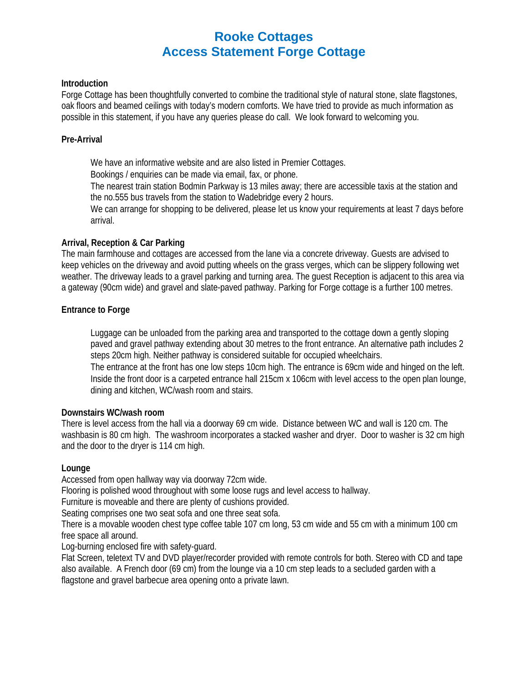# **Rooke Cottages Access Statement Forge Cottage**

#### **Introduction**

Forge Cottage has been thoughtfully converted to combine the traditional style of natural stone, slate flagstones, oak floors and beamed ceilings with today's modern comforts. We have tried to provide as much information as possible in this statement, if you have any queries please do call. We look forward to welcoming you.

### **Pre-Arrival**

We have an informative website and are also listed in Premier Cottages.

Bookings / enquiries can be made via email, fax, or phone.

The nearest train station Bodmin Parkway is 13 miles away; there are accessible taxis at the station and the no.555 bus travels from the station to Wadebridge every 2 hours.

We can arrange for shopping to be delivered, please let us know your requirements at least 7 days before arrival.

#### **Arrival, Reception & Car Parking**

The main farmhouse and cottages are accessed from the lane via a concrete driveway. Guests are advised to keep vehicles on the driveway and avoid putting wheels on the grass verges, which can be slippery following wet weather. The driveway leads to a gravel parking and turning area. The guest Reception is adjacent to this area via a gateway (90cm wide) and gravel and slate-paved pathway. Parking for Forge cottage is a further 100 metres.

#### **Entrance to Forge**

Luggage can be unloaded from the parking area and transported to the cottage down a gently sloping paved and gravel pathway extending about 30 metres to the front entrance. An alternative path includes 2 steps 20cm high. Neither pathway is considered suitable for occupied wheelchairs.

The entrance at the front has one low steps 10cm high. The entrance is 69cm wide and hinged on the left. Inside the front door is a carpeted entrance hall 215cm x 106cm with level access to the open plan lounge, dining and kitchen, WC/wash room and stairs.

#### **Downstairs WC/wash room**

There is level access from the hall via a doorway 69 cm wide. Distance between WC and wall is 120 cm. The washbasin is 80 cm high. The washroom incorporates a stacked washer and dryer. Door to washer is 32 cm high and the door to the dryer is 114 cm high.

# **Lounge**

Accessed from open hallway way via doorway 72cm wide.

Flooring is polished wood throughout with some loose rugs and level access to hallway.

Furniture is moveable and there are plenty of cushions provided.

Seating comprises one two seat sofa and one three seat sofa.

There is a movable wooden chest type coffee table 107 cm long, 53 cm wide and 55 cm with a minimum 100 cm free space all around.

Log-burning enclosed fire with safety-guard.

Flat Screen, teletext TV and DVD player/recorder provided with remote controls for both. Stereo with CD and tape also available. A French door (69 cm) from the lounge via a 10 cm step leads to a secluded garden with a flagstone and gravel barbecue area opening onto a private lawn.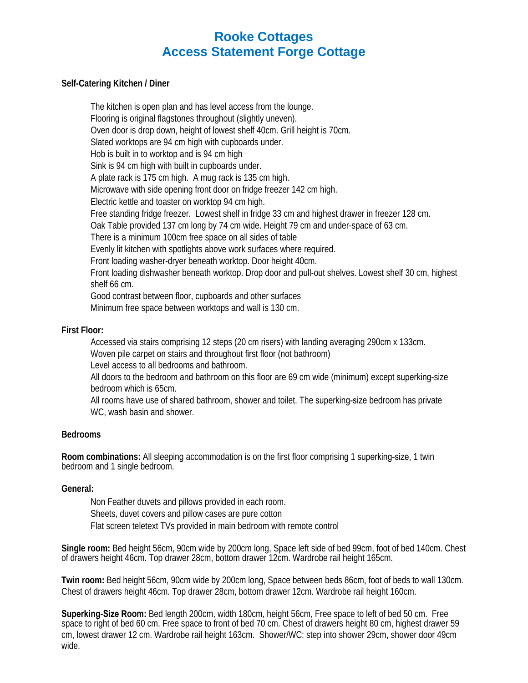# **Rooke Cottages Access Statement Forge Cottage**

#### **Self-Catering Kitchen / Diner**

The kitchen is open plan and has level access from the lounge. Flooring is original flagstones throughout (slightly uneven). Oven door is drop down, height of lowest shelf 40cm. Grill height is 70cm. Slated worktops are 94 cm high with cupboards under. Hob is built in to worktop and is 94 cm high Sink is 94 cm high with built in cupboards under. A plate rack is 175 cm high. A mug rack is 135 cm high. Microwave with side opening front door on fridge freezer 142 cm high. Electric kettle and toaster on worktop 94 cm high. Free standing fridge freezer. Lowest shelf in fridge 33 cm and highest drawer in freezer 128 cm. Oak Table provided 137 cm long by 74 cm wide. Height 79 cm and under-space of 63 cm. There is a minimum 100cm free space on all sides of table Evenly lit kitchen with spotlights above work surfaces where required. Front loading washer-dryer beneath worktop. Door height 40cm. Front loading dishwasher beneath worktop. Drop door and pull-out shelves. Lowest shelf 30 cm, highest shelf 66 cm. Good contrast between floor, cupboards and other surfaces Minimum free space between worktops and wall is 130 cm.

#### **First Floor:**

Accessed via stairs comprising 12 steps (20 cm risers) with landing averaging 290cm x 133cm. Woven pile carpet on stairs and throughout first floor (not bathroom) Level access to all bedrooms and bathroom. All doors to the bedroom and bathroom on this floor are 69 cm wide (minimum) except superking-size bedroom which is 65cm.

All rooms have use of shared bathroom, shower and toilet. The superking-size bedroom has private WC, wash basin and shower.

# **Bedrooms**

**Room combinations:** All sleeping accommodation is on the first floor comprising 1 superking-size, 1 twin bedroom and 1 single bedroom.

#### **General:**

Non Feather duvets and pillows provided in each room. Sheets, duvet covers and pillow cases are pure cotton Flat screen teletext TVs provided in main bedroom with remote control

**Single room:** Bed height 56cm, 90cm wide by 200cm long, Space left side of bed 99cm, foot of bed 140cm. Chest of drawers height 46cm. Top drawer 28cm, bottom drawer 12cm. Wardrobe rail height 165cm.

**Twin room:** Bed height 56cm, 90cm wide by 200cm long, Space between beds 86cm, foot of beds to wall 130cm. Chest of drawers height 46cm. Top drawer 28cm, bottom drawer 12cm. Wardrobe rail height 160cm.

**Superking-Size Room:** Bed length 200cm, width 180cm, height 56cm, Free space to left of bed 50 cm. Free space to right of bed 60 cm. Free space to front of bed 70 cm. Chest of drawers height 80 cm, highest drawer 59 cm, lowest drawer 12 cm. Wardrobe rail height 163cm. Shower/WC: step into shower 29cm, shower door 49cm wide.